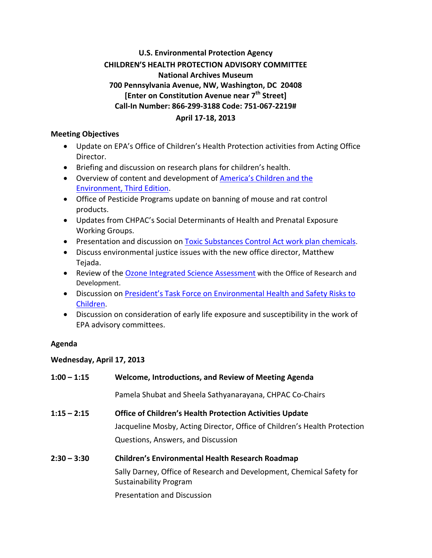# **U.S. Environmental Protection Agency CHILDREN'S HEALTH PROTECTION ADVISORY COMMITTEE National Archives Museum 700 Pennsylvania Avenue, NW, Washington, DC 20408 [Enter on Constitution Avenue near 7th Street] Call‐In Number: 866‐299‐3188 Code: 751‐067‐2219# April 17‐18, 2013**

## **Meeting Objectives**

- Update on EPA's Office of Children's Health Protection activities from Acting Office Director.
- Briefing and discussion on research plans for children's health.
- Overview of content and development of **America's Children and the** Environment, Third Edition.
- Office of Pesticide Programs update on banning of mouse and rat control products.
- Updates from CHPAC's Social Determinants of Health and Prenatal Exposure Working Groups.
- **Presentation and discussion on Toxic Substances Control Act work plan chemicals.**
- Discuss environmental justice issues with the new office director, Matthew Tejada.
- Review of the Ozone Integrated Science Assessment with the Office of Research and Development.
- Discussion on **President's Task Force on Environmental Health and Safety Risks to** Children.
- Discussion on consideration of early life exposure and susceptibility in the work of EPA advisory committees.

# **Agenda**

# **Wednesday, April 17, 2013**

| $1:00 - 1:15$ | Welcome, Introductions, and Review of Meeting Agenda                                                   |
|---------------|--------------------------------------------------------------------------------------------------------|
|               | Pamela Shubat and Sheela Sathyanarayana, CHPAC Co-Chairs                                               |
| $1:15 - 2:15$ | <b>Office of Children's Health Protection Activities Update</b>                                        |
|               | Jacqueline Mosby, Acting Director, Office of Children's Health Protection                              |
|               | Questions, Answers, and Discussion                                                                     |
| $2:30 - 3:30$ | <b>Children's Environmental Health Research Roadmap</b>                                                |
|               | Sally Darney, Office of Research and Development, Chemical Safety for<br><b>Sustainability Program</b> |
|               | <b>Presentation and Discussion</b>                                                                     |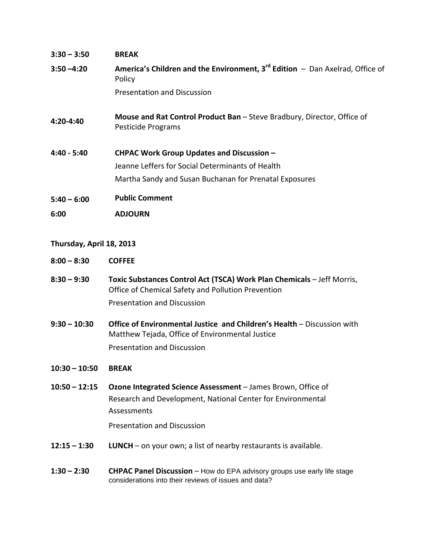| $3:30 - 3:50$ | <b>BREAK</b>                                                                                             |
|---------------|----------------------------------------------------------------------------------------------------------|
| $3:50 - 4:20$ | <b>America's Children and the Environment, 3<sup>rd</sup> Edition - Dan Axelrad, Office of</b><br>Policy |
|               | Presentation and Discussion                                                                              |
| 4:20-4:40     | Mouse and Rat Control Product Ban - Steve Bradbury, Director, Office of<br>Pesticide Programs            |
| $4:40 - 5:40$ | <b>CHPAC Work Group Updates and Discussion -</b>                                                         |
|               | Jeanne Leffers for Social Determinants of Health                                                         |
|               | Martha Sandy and Susan Buchanan for Prenatal Exposures                                                   |
| $5:40 - 6:00$ | <b>Public Comment</b>                                                                                    |
| 6:00          | ADJOURN                                                                                                  |

#### **Thursday, April 18, 2013**

- **8:00 – 8:30 COFFEE**
- **8:30 – 9:30 Toxic Substances Control Act (TSCA) Work Plan Chemicals** Jeff Morris, Office of Chemical Safety and Pollution Prevention Presentation and Discussion
- **9:30 – 10:30 Office of Environmental Justice and Children's Health** Discussion with Matthew Tejada, Office of Environmental Justice Presentation and Discussion

## **10:30 – 10:50 BREAK**

 **10:50 – 12:15 Ozone Integrated Science Assessment** – James Brown, Office of Research and Development, National Center for Environmental Assessments

Presentation and Discussion

- **12:15 – 1:30 LUNCH** on your own; a list of nearby restaurants is available.
- **1:30 – 2:30 CHPAC Panel Discussion** How do EPA advisory groups use early life stage considerations into their reviews of issues and data?